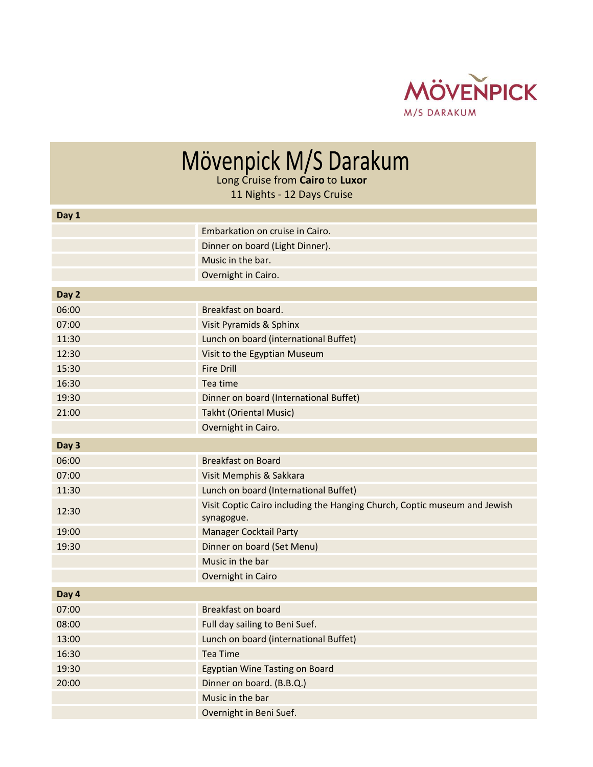

## Mövenpick M/S Darakum

11 Nights - 12 Days Cruise

| Day 1 |                                                                                         |
|-------|-----------------------------------------------------------------------------------------|
|       | Embarkation on cruise in Cairo.                                                         |
|       | Dinner on board (Light Dinner).                                                         |
|       | Music in the bar.                                                                       |
|       | Overnight in Cairo.                                                                     |
| Day 2 |                                                                                         |
| 06:00 | Breakfast on board.                                                                     |
| 07:00 | Visit Pyramids & Sphinx                                                                 |
| 11:30 | Lunch on board (international Buffet)                                                   |
| 12:30 | Visit to the Egyptian Museum                                                            |
| 15:30 | <b>Fire Drill</b>                                                                       |
| 16:30 | Tea time                                                                                |
| 19:30 | Dinner on board (International Buffet)                                                  |
| 21:00 | <b>Takht (Oriental Music)</b>                                                           |
|       | Overnight in Cairo.                                                                     |
| Day 3 |                                                                                         |
| 06:00 | <b>Breakfast on Board</b>                                                               |
| 07:00 | Visit Memphis & Sakkara                                                                 |
| 11:30 | Lunch on board (International Buffet)                                                   |
| 12:30 | Visit Coptic Cairo including the Hanging Church, Coptic museum and Jewish<br>synagogue. |
| 19:00 | <b>Manager Cocktail Party</b>                                                           |
| 19:30 | Dinner on board (Set Menu)                                                              |
|       | Music in the bar                                                                        |
|       | Overnight in Cairo                                                                      |
| Day 4 |                                                                                         |
| 07:00 | <b>Breakfast on board</b>                                                               |
| 08:00 | Full day sailing to Beni Suef.                                                          |
| 13:00 | Lunch on board (international Buffet)                                                   |
| 16:30 | <b>Tea Time</b>                                                                         |
| 19:30 | <b>Egyptian Wine Tasting on Board</b>                                                   |
| 20:00 | Dinner on board. (B.B.Q.)                                                               |
|       | Music in the bar                                                                        |
|       | Overnight in Beni Suef.                                                                 |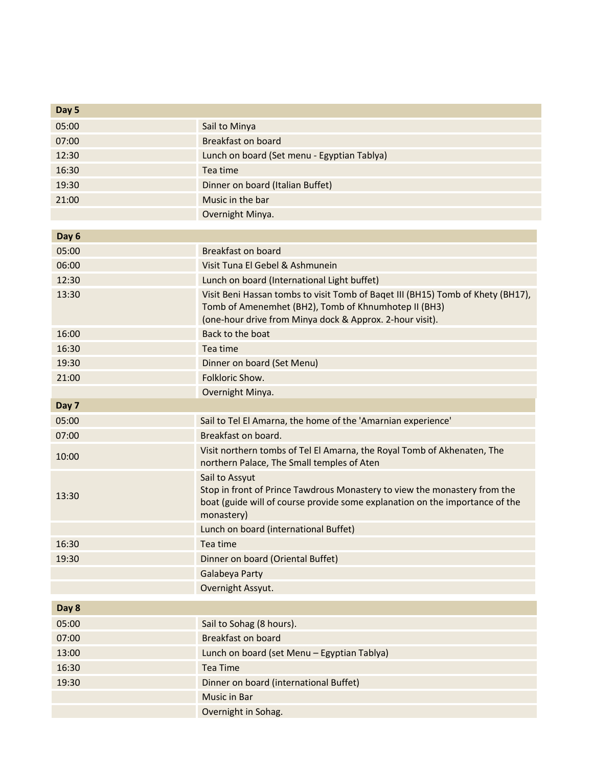| Day 5 |                                                                                                                                                                                                     |
|-------|-----------------------------------------------------------------------------------------------------------------------------------------------------------------------------------------------------|
| 05:00 | Sail to Minya                                                                                                                                                                                       |
| 07:00 | <b>Breakfast on board</b>                                                                                                                                                                           |
| 12:30 | Lunch on board (Set menu - Egyptian Tablya)                                                                                                                                                         |
| 16:30 | Tea time                                                                                                                                                                                            |
| 19:30 | Dinner on board (Italian Buffet)                                                                                                                                                                    |
| 21:00 | Music in the bar                                                                                                                                                                                    |
|       | Overnight Minya.                                                                                                                                                                                    |
| Day 6 |                                                                                                                                                                                                     |
| 05:00 | <b>Breakfast on board</b>                                                                                                                                                                           |
| 06:00 | Visit Tuna El Gebel & Ashmunein                                                                                                                                                                     |
| 12:30 | Lunch on board (International Light buffet)                                                                                                                                                         |
| 13:30 | Visit Beni Hassan tombs to visit Tomb of Baqet III (BH15) Tomb of Khety (BH17),<br>Tomb of Amenemhet (BH2), Tomb of Khnumhotep II (BH3)<br>(one-hour drive from Minya dock & Approx. 2-hour visit). |
| 16:00 | Back to the boat                                                                                                                                                                                    |
| 16:30 | Tea time                                                                                                                                                                                            |
| 19:30 | Dinner on board (Set Menu)                                                                                                                                                                          |
| 21:00 | Folkloric Show.                                                                                                                                                                                     |
|       | Overnight Minya.                                                                                                                                                                                    |
| Day 7 |                                                                                                                                                                                                     |
| 05:00 | Sail to Tel El Amarna, the home of the 'Amarnian experience'                                                                                                                                        |
| 07:00 | Breakfast on board.                                                                                                                                                                                 |
| 10:00 | Visit northern tombs of Tel El Amarna, the Royal Tomb of Akhenaten, The<br>northern Palace, The Small temples of Aten                                                                               |
| 13:30 | Sail to Assyut<br>Stop in front of Prince Tawdrous Monastery to view the monastery from the<br>boat (guide will of course provide some explanation on the importance of the<br>monastery)           |
|       | Lunch on board (international Buffet)                                                                                                                                                               |
| 16:30 | Tea time                                                                                                                                                                                            |
| 19:30 | Dinner on board (Oriental Buffet)                                                                                                                                                                   |
|       | Galabeya Party                                                                                                                                                                                      |
|       | Overnight Assyut.                                                                                                                                                                                   |
| Day 8 |                                                                                                                                                                                                     |
| 05:00 | Sail to Sohag (8 hours).                                                                                                                                                                            |
| 07:00 | <b>Breakfast on board</b>                                                                                                                                                                           |
| 13:00 | Lunch on board (set Menu - Egyptian Tablya)                                                                                                                                                         |
| 16:30 | <b>Tea Time</b>                                                                                                                                                                                     |
| 19:30 | Dinner on board (international Buffet)                                                                                                                                                              |
|       | Music in Bar                                                                                                                                                                                        |
|       | Overnight in Sohag.                                                                                                                                                                                 |